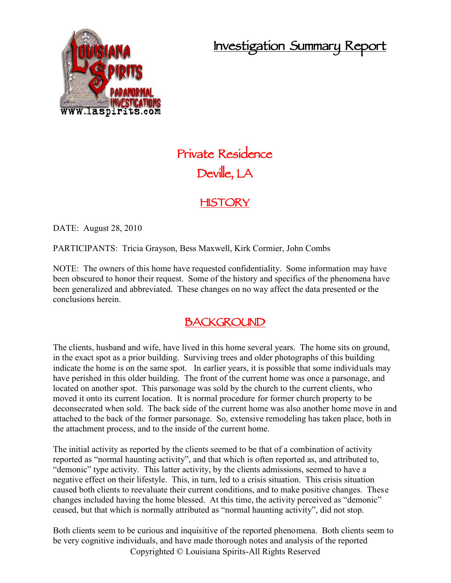## **Investigation Summary Report**



# **Private Residence Deville, LA**

### **HISTORY**

DATE: August 28, 2010

PARTICIPANTS: Tricia Grayson, Bess Maxwell, Kirk Cormier, John Combs

NOTE: The owners of this home have requested confidentiality. Some information may have been obscured to honor their request. Some of the history and specifics of the phenomena have been generalized and abbreviated. These changes on no way affect the data presented or the conclusions herein.

#### **BACKGROUND**

The clients, husband and wife, have lived in this home several years. The home sits on ground, in the exact spot as a prior building. Surviving trees and older photographs of this building indicate the home is on the same spot. In earlier years, it is possible that some individuals may have perished in this older building. The front of the current home was once a parsonage, and located on another spot. This parsonage was sold by the church to the current clients, who moved it onto its current location. It is normal procedure for former church property to be deconsecrated when sold. The back side of the current home was also another home move in and attached to the back of the former parsonage. So, extensive remodeling has taken place, both in the attachment process, and to the inside of the current home.

The initial activity as reported by the clients seemed to be that of a combination of activity reported as "normal haunting activity", and that which is often reported as, and attributed to, "demonic" type activity. This latter activity, by the clients admissions, seemed to have a negative effect on their lifestyle. This, in turn, led to a crisis situation. This crisis situation caused both clients to reevaluate their current conditions, and to make positive changes. These changes included having the home blessed. At this time, the activity perceived as "demonic" ceased, but that which is normally attributed as "normal haunting activity", did not stop.

Copyrighted © Louisiana Spirits-All Rights Reserved Both clients seem to be curious and inquisitive of the reported phenomena. Both clients seem to be very cognitive individuals, and have made thorough notes and analysis of the reported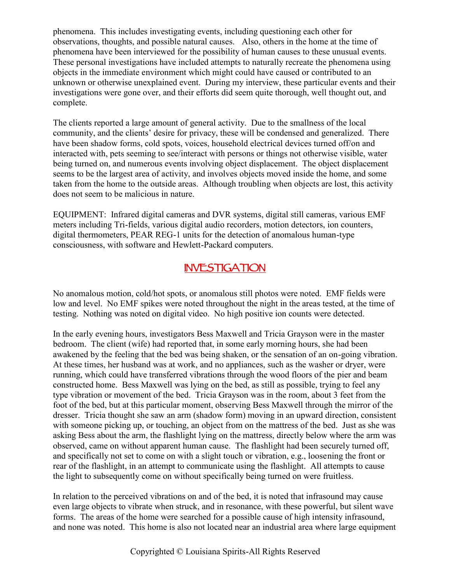phenomena. This includes investigating events, including questioning each other for observations, thoughts, and possible natural causes. Also, others in the home at the time of phenomena have been interviewed for the possibility of human causes to these unusual events. These personal investigations have included attempts to naturally recreate the phenomena using objects in the immediate environment which might could have caused or contributed to an unknown or otherwise unexplained event. During my interview, these particular events and their investigations were gone over, and their efforts did seem quite thorough, well thought out, and complete.

The clients reported a large amount of general activity. Due to the smallness of the local community, and the clients' desire for privacy, these will be condensed and generalized. There have been shadow forms, cold spots, voices, household electrical devices turned off/on and interacted with, pets seeming to see/interact with persons or things not otherwise visible, water being turned on, and numerous events involving object displacement. The object displacement seems to be the largest area of activity, and involves objects moved inside the home, and some taken from the home to the outside areas. Although troubling when objects are lost, this activity does not seem to be malicious in nature.

EQUIPMENT: Infrared digital cameras and DVR systems, digital still cameras, various EMF meters including Tri-fields, various digital audio recorders, motion detectors, ion counters, digital thermometers, PEAR REG-1 units for the detection of anomalous human-type consciousness, with software and Hewlett-Packard computers.

#### **INVESTIGATION**

No anomalous motion, cold/hot spots, or anomalous still photos were noted. EMF fields were low and level. No EMF spikes were noted throughout the night in the areas tested, at the time of testing. Nothing was noted on digital video. No high positive ion counts were detected.

In the early evening hours, investigators Bess Maxwell and Tricia Grayson were in the master bedroom. The client (wife) had reported that, in some early morning hours, she had been awakened by the feeling that the bed was being shaken, or the sensation of an on-going vibration. At these times, her husband was at work, and no appliances, such as the washer or dryer, were running, which could have transferred vibrations through the wood floors of the pier and beam constructed home. Bess Maxwell was lying on the bed, as still as possible, trying to feel any type vibration or movement of the bed. Tricia Grayson was in the room, about 3 feet from the foot of the bed, but at this particular moment, observing Bess Maxwell through the mirror of the dresser. Tricia thought she saw an arm (shadow form) moving in an upward direction, consistent with someone picking up, or touching, an object from on the mattress of the bed. Just as she was asking Bess about the arm, the flashlight lying on the mattress, directly below where the arm was observed, came on without apparent human cause. The flashlight had been securely turned off, and specifically not set to come on with a slight touch or vibration, e.g., loosening the front or rear of the flashlight, in an attempt to communicate using the flashlight. All attempts to cause the light to subsequently come on without specifically being turned on were fruitless.

In relation to the perceived vibrations on and of the bed, it is noted that infrasound may cause even large objects to vibrate when struck, and in resonance, with these powerful, but silent wave forms. The areas of the home were searched for a possible cause of high intensity infrasound, and none was noted. This home is also not located near an industrial area where large equipment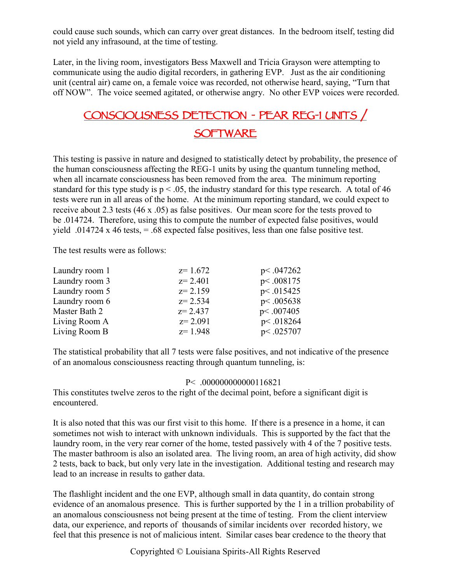could cause such sounds, which can carry over great distances. In the bedroom itself, testing did not yield any infrasound, at the time of testing.

Later, in the living room, investigators Bess Maxwell and Tricia Grayson were attempting to communicate using the audio digital recorders, in gathering EVP. Just as the air conditioning unit (central air) came on, a female voice was recorded, not otherwise heard, saying, "Turn that off NOW". The voice seemed agitated, or otherwise angry. No other EVP voices were recorded.

## **CONSCIOUSNESS DETECTION - PEAR REG-1 UNITS / SOFTWARE**

This testing is passive in nature and designed to statistically detect by probability, the presence of the human consciousness affecting the REG-1 units by using the quantum tunneling method, when all incarnate consciousness has been removed from the area. The minimum reporting standard for this type study is  $p < .05$ , the industry standard for this type research. A total of 46 tests were run in all areas of the home. At the minimum reporting standard, we could expect to receive about 2.3 tests (46 x .05) as false positives. Our mean score for the tests proved to be .014724. Therefore, using this to compute the number of expected false positives, would yield .014724 x 46 tests,  $= .68$  expected false positives, less than one false positive test.

The test results were as follows:

|             | p<.047262 |
|-------------|-----------|
| $z = 2.401$ | p<.008175 |
| $z = 2.159$ | p<.015425 |
| $z = 2.534$ | p<.005638 |
| $z = 2.437$ | p<.007405 |
| $z = 2.091$ | p<.018264 |
| $z = 1.948$ | p<.025707 |
|             | $z=1.672$ |

The statistical probability that all 7 tests were false positives, and not indicative of the presence of an anomalous consciousness reacting through quantum tunneling, is:

#### P< .000000000000116821

This constitutes twelve zeros to the right of the decimal point, before a significant digit is encountered.

It is also noted that this was our first visit to this home. If there is a presence in a home, it can sometimes not wish to interact with unknown individuals. This is supported by the fact that the laundry room, in the very rear corner of the home, tested passively with 4 of the 7 positive tests. The master bathroom is also an isolated area. The living room, an area of high activity, did show 2 tests, back to back, but only very late in the investigation. Additional testing and research may lead to an increase in results to gather data.

The flashlight incident and the one EVP, although small in data quantity, do contain strong evidence of an anomalous presence. This is further supported by the 1 in a trillion probability of an anomalous consciousness not being present at the time of testing. From the client interview data, our experience, and reports of thousands of similar incidents over recorded history, we feel that this presence is not of malicious intent. Similar cases bear credence to the theory that